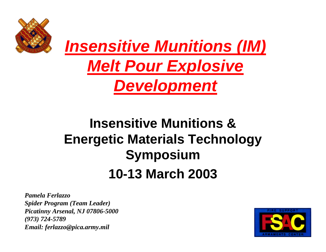



#### **Insensitive Munitions & Energetic Materials Technology Symposium 10-13 March 2003**

*Pamela Ferlazzo Spider Program (Team Leader) Picatinny Arsenal, NJ 07806-5000 (973) 724-5789 Email: ferlazzo@pica.army.mil*

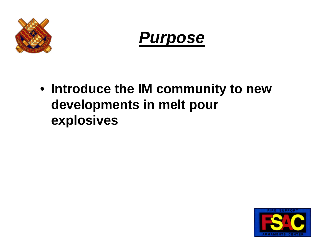



• **Introduce the IM community to new developments in melt pour explosives**

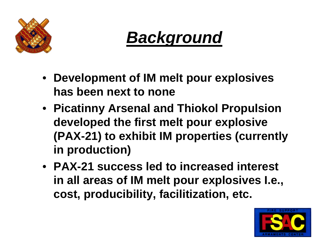



- **Development of IM melt pour explosives has been next to none**
- **Picatinny Arsenal and Thiokol Propulsion developed the first melt pour explosive (PAX-21) to exhibit IM properties (currently in production)**
- **PAX-21 success led to increased interest in all areas of IM melt pour explosives I.e., cost, producibility, facilitization, etc.**

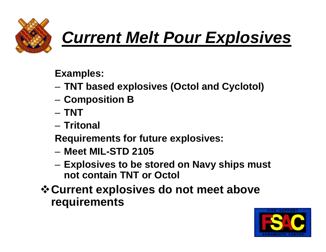

# *Current Melt Pour Explosives*

**Examples:**

- **TNT based explosives (Octol and Cyclotol)**
- **Composition B**
- **TNT**
- **Tritonal**

**Requirements for future explosives:**

- **Meet MIL-STD 2105**
- **Explosives to be stored on Navy ships must not contain TNT or Octol**
- *❖* **Current explosives do not meet above requirements**

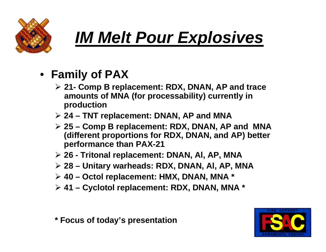

## *IM Melt Pour Explosives*

- **Family of PAX**
	- ÿ **21- Comp B replacement: RDX, DNAN, AP and trace amounts of MNA (for processability) currently in production**
	- ÿ **24 TNT replacement: DNAN, AP and MNA**
	- ÿ **25 Comp B replacement: RDX, DNAN, AP and MNA (different proportions for RDX, DNAN, and AP) better performance than PAX-21**
	- ÿ **26 Tritonal replacement: DNAN, Al, AP, MNA**
	- ÿ **28 Unitary warheads: RDX, DNAN, Al, AP, MNA**
	- ÿ **40 Octol replacement: HMX, DNAN, MNA \***
	- ÿ **41 Cyclotol replacement: RDX, DNAN, MNA \***



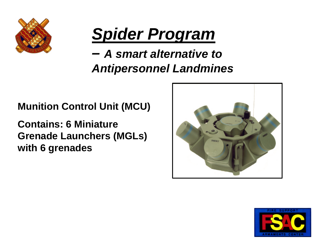

### *Spider Program*

#### *– A smart alternative to Antipersonnel Landmines*

#### **Munition Control Unit (MCU)**

**Contains: 6 Miniature Grenade Launchers (MGLs) with 6 grenades**



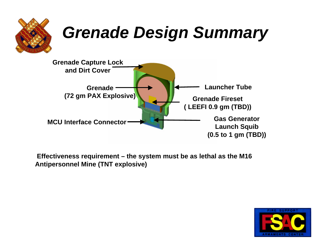

 **Effectiveness requirement – the system must be as lethal as the M16 Antipersonnel Mine (TNT explosive)**

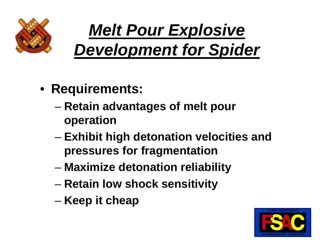

# *Melt Pour Explosive Development for Spider*

- **Requirements:**
	- **Retain advantages of melt pour operation**
	- **Exhibit high detonation velocities and pressures for fragmentation**
	- **Maximize detonation reliability**
	- **Retain low shock sensitivity**
	- **Keep it cheap**

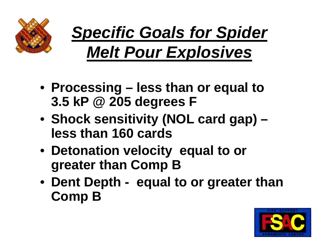

# *Specific Goals for Spider Melt Pour Explosives*

- **Processing less than or equal to 3.5 kP @ 205 degrees F**
- **Shock sensitivity (NOL card gap) – less than 160 cards**
- **Detonation velocity equal to or greater than Comp B**
- **Dent Depth equal to or greater than Comp B**

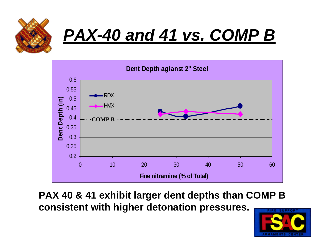





**PAX 40 & 41 exhibit larger dent depths than COMP B consistent with higher detonation pressures.** 

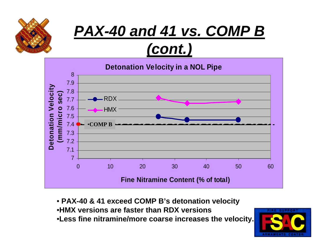

#### *PAX-40 and 41 vs. COMP B (cont.)*



• **PAX-40 & 41 exceed COMP B's detonation velocity** •**HMX versions are faster than RDX versions** •**Less fine nitramine/more coarse increases the velocity.**

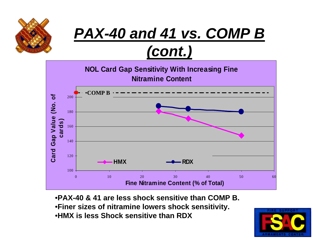

#### *PAX-40 and 41 vs. COMP B (cont.)*



•**PAX-40 & 41 are less shock sensitive than COMP B.** •**Finer sizes of nitramine lowers shock sensitivity.** •**HMX is less Shock sensitive than RDX**

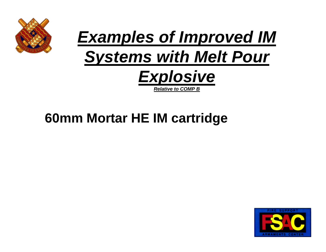



#### **60mm Mortar HE IM cartridge**